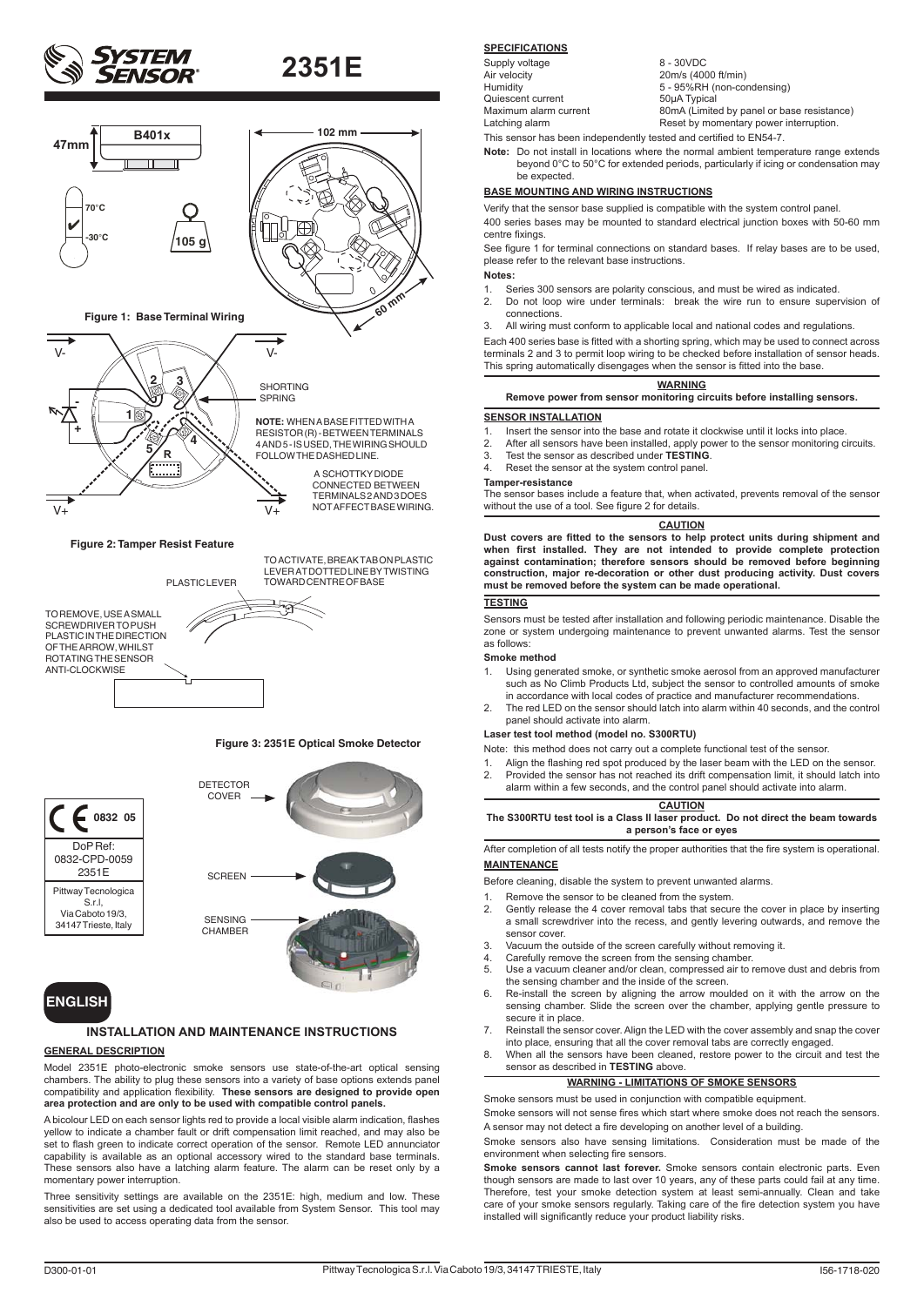



TO REMOVE, USE A SMALL SCREWDRIVER TO PUSH PLASTIC IN THE DIRECTION OF THE ARROW, WHILST ROTATING THE SENSOR ANTI-CLOCKWISE PLASTIC LEVER

TO ACTIVATE, BREAK TAB ON PLASTIC LEVER AT DOTTED LINE BY TWISTING TOWARD CENTRE OF BASE

### **Figure 3: 2351E Optical Smoke Detector**



## **ENGLISH**

### **INSTALLATION AND MAINTENANCE INSTRUCTIONS**

### **GENERAL DESCRIPTION**

Model 2351E photo-electronic smoke sensors use state-of-the-art optical sensing chambers. The ability to plug these sensors into a variety of base options extends panel compatibility and application flexibility. **These sensors are designed to provide open area protection and are only to be used with compatible control panels.**

A bicolour LED on each sensor lights red to provide a local visible alarm indication, flashes yellow to indicate a chamber fault or drift compensation limit reached, and may also be set to flash green to indicate correct operation of the sensor. Remote LED annunciator capability is available as an optional accessory wired to the standard base terminals. These sensors also have a latching alarm feature. The alarm can be reset only by a momentary power interruption.

Three sensitivity settings are available on the 2351E: high, medium and low. These sensitivities are set using a dedicated tool available from System Sensor. This tool may also be used to access operating data from the sensor.

## **SPECIFICATIONS**

Supply voltage 8 - 30VDC<br>Air velocity 20m/s (400 Air velocity<br>
Air velocity<br>
Humidity<br>  $5 - 95%RH$  (non-correct) Quiescent current 50µA Typical<br>
Maximum alarm current 50mA (Limite

Humidity  $5 - 95%RH$  (non-condensing)<br>Cuiescent current 50uA Typical Maximum alarm current 80mA (Limited by panel or base resistance)<br>
1 atching alarm **Reset by momentary power interruption**. Reset by momentary power interruption. This sensor has been independently tested and certified to EN54-7.

**Note:** Do not install in locations where the normal ambient temperature range extends beyond 0°C to 50°C for extended periods, particularly if icing or condensation may be expected.

### **BASE MOUNTING AND WIRING INSTRUCTIONS**

Verify that the sensor base supplied is compatible with the system control panel. 400 series bases may be mounted to standard electrical junction boxes with 50-60 mm centre fixings.

See figure 1 for terminal connections on standard bases. If relay bases are to be used, please refer to the relevant base instructions.

**Notes:**

- 1. Series 300 sensors are polarity conscious, and must be wired as indicated.
- 2. Do not loop wire under terminals: break the wire run to ensure supervision of connections.
- 3. All wiring must conform to applicable local and national codes and regulations.

Each 400 series base is fitted with a shorting spring, which may be used to connect across terminals 2 and 3 to permit loop wiring to be checked before installation of sensor heads. This spring automatically disengages when the sensor is fitted into the base.

### **WARNING Remove power from sensor monitoring circuits before installing sensors.**

### **SENSOR INSTALLATION**

- 1. Insert the sensor into the base and rotate it clockwise until it locks into place.<br>2. After all sensors have been installed, apply power to the sensor monitoring c
- 2. After all sensors have been installed, apply power to the sensor monitoring circuits.<br>3. Test the sensor as described under **TESTING**
- 3. Test the sensor as described under **TESTING**.
- 4. Reset the sensor at the system control panel.
- **Tamper-resistance**

The sensor bases include a feature that, when activated, prevents removal of the sensor without the use of a tool. See figure 2 for details.

### **CAUTION**

**Dust covers are fitted to the sensors to help protect units during shipment and when first installed. They are not intended to provide complete protection against contamination; therefore sensors should be removed before beginning construction, major re-decoration or other dust producing activity. Dust covers must be removed before the system can be made operational.**

### **TESTING**

Sensors must be tested after installation and following periodic maintenance. Disable the zone or system undergoing maintenance to prevent unwanted alarms. Test the sensor as follows:

### **Smoke method**

- 1. Using generated smoke, or synthetic smoke aerosol from an approved manufacturer such as No Climb Products Ltd, subject the sensor to controlled amounts of smoke in accordance with local codes of practice and manufacturer recommendations.
- 2. The red LED on the sensor should latch into alarm within 40 seconds, and the control panel should activate into alarm.

### **Laser test tool method (model no. S300RTU)**

Note: this method does not carry out a complete functional test of the sensor.

- 1. Align the flashing red spot produced by the laser beam with the LED on the sensor.<br>2. Provided the sensor has not reached its drift compensation limit. it should latch into 2. Provided the sensor has not reached its drift compensation limit, it should latch into
- alarm within a few seconds, and the control panel should activate into alarm.

### **CAUTION**

**The S300RTU test tool is a Class II laser product. Do not direct the beam towards a person's face or eyes**

After completion of all tests notify the proper authorities that the fire system is operational. **MAINTENANCE**

- Before cleaning, disable the system to prevent unwanted alarms.
- 1. Remove the sensor to be cleaned from the system.<br>2. Gently release the 4 cover removal tabs that secure Gently release the 4 cover removal tabs that secure the cover in place by inserting a small screwdriver into the recess, and gently levering outwards, and remove the sensor cover.
- 3. Vacuum the outside of the screen carefully without removing it.<br>4. Carefully remove the screen from the sensing chamber.
- 4. Carefully remove the screen from the sensing chamber.<br>5. Use a vacuum cleaner and/or clean, compressed air to
- Use a vacuum cleaner and/or clean, compressed air to remove dust and debris from the sensing chamber and the inside of the screen.
- 6. Re-install the screen by aligning the arrow moulded on it with the arrow on the sensing chamber. Slide the screen over the chamber, applying gentle pressure to secure it in place.
- 7. Reinstall the sensor cover. Align the LED with the cover assembly and snap the cover into place, ensuring that all the cover removal tabs are correctly engaged.
- 8. When all the sensors have been cleaned, restore power to the circuit and test the sensor as described in **TESTING** above.

### **WARNING - LIMITATIONS OF SMOKE SENSORS**

Smoke sensors must be used in conjunction with compatible equipment.

Smoke sensors will not sense fires which start where smoke does not reach the sensors. A sensor may not detect a fire developing on another level of a building.

Smoke sensors also have sensing limitations. Consideration must be made of the environment when selecting fire sensors.

**Smoke sensors cannot last forever.** Smoke sensors contain electronic parts. Even though sensors are made to last over 10 years, any of these parts could fail at any time. Therefore, test your smoke detection system at least semi-annually. Clean and take care of your smoke sensors regularly. Taking care of the fire detection system you have installed will significantly reduce your product liability risks.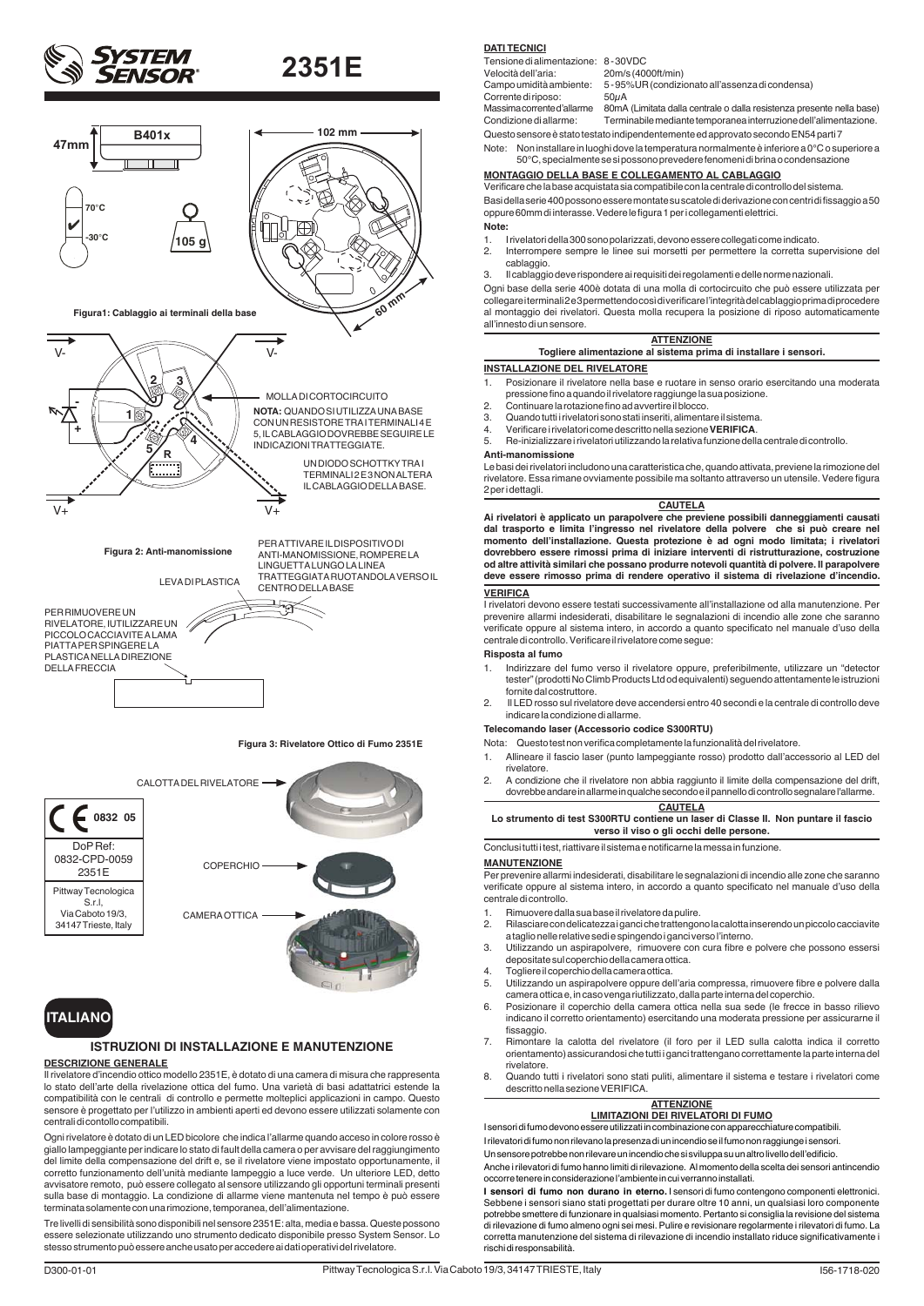







## **ISTRUZIONI DI INSTALLAZIONE E MANUTENZIONE**

## **DESCRIZIONE GENERALE**

Il rivelatore d'incendio ottico modello 2351E, è dotato di una camera di misura che rappresenta lo stato dell'arte della rivelazione ottica del fumo. Una varietà di basi adattatrici estende la compatibilità con le centrali di controllo e permette molteplici applicazioni in campo. Questo sensore è progettato per l'utilizzo in ambienti aperti ed devono essere utilizzati solamente con centrali di contollo compatibili.

Ogni rivelatore è dotato di un LED bicolore che indica l'allarme quando acceso in colore rosso è giallo lampeggiante per indicare lo stato di fault della camera o per avvisare del raggiungimento del limite della compensazione del drift e, se il rivelatore viene impostato opportunamente, il corretto funzionamento dell'unità mediante lampeggio a luce verde. Un ulteriore LED, detto avvisatore remoto, può essere collegato al sensore utilizzando gli opportuni terminali presenti sulla base di montaggio. La condizione di allarme viene mantenuta nel tempo è può essere terminata solamente con una rimozione, temporanea, dell'alimentazione.

Tre livelli di sensibilità sono disponibili nel sensore 2351E: alta, media e bassa. Queste possono essere selezionate utilizzando uno strumento dedicato disponibile presso System Sensor. Lo stesso strumento può essere anche usato per accedere ai dati operativi del rivelatore.

### **DATI TECNICI**

Tensione di alimentazione: 8-30VDC<br>Velocità dell'aria: 20m/s (400 Corrente di riposo:<br>Massima corrente d'allarme

20m/s (4000ft/min)

Campo umidità ambiente: 5 - 95% UR (condizionato all'assenza di condensa)<br>Corrente di riposo: 50µA

80mA (Limitata dalla centrale o dalla resistenza presente nella base) Condizione di allarme: Terminabile mediante temporanea interruzione dell'alimentazione. Questo sensore è stato testato indipendentemente ed approvato secondo EN54 parti 7

Note: Non installare in luoghi dove la temperatura normalmente è inferiore a 0°C o superiore a 50°C, specialmente se si possono prevedere fenomeni di brina o condensazione

### **MONTAGGIO DELLA BASE E COLLEGAMENTO AL CABLAGGIO**

Verificare che la base acquistata sia compatibile con la centrale di controllo del sistema. Basi della serie 400 possono essere montate su scatole di derivazione con centri di fissaggio a 50 oppure 60mm di interasse. Vedere le figura 1 per i collegamenti elettrici. **Note:**

## 1. I rivelatori della 300 sono polarizzati, devono essere collegati come indicato.

- Interrompere sempre le linee sui morsetti per permettere la corretta supervisione del cablaggio.
- 3. Il cablaggio deve rispondere ai requisiti dei regolamenti e delle norme nazionali.

Ogni base della serie 400è dotata di una molla di cortocircuito che può essere utilizzata per collegare i terminali 2 e 3 permettendo così di verificare l'integrità del cablaggio prima di procedere al montaggio dei rivelatori. Questa molla recupera la posizione di riposo automaticamente all'innesto di un sensore.

| <b>ATTENZIONE</b><br>Togliere alimentazione al sistema prima di installare i sensori. |  |
|---------------------------------------------------------------------------------------|--|
| <b>INSTALLAZIONE DEL RIVELATORE</b>                                                   |  |

- 1. Posizionare il rivelatore nella base e ruotare in senso orario esercitando una moderata pressione fino a quando il rivelatore raggiunge la sua posizione. 2. Continuare la rotazione fino ad avvertire il blocco.
- 
- 3. Quando tutti i rivelatori sono stati inseriti, alimentare il sistema.
- 4. Verificare i rivelatori come descritto nella sezione **VERIFICA**.

5. Re-inizializzare i rivelatori utilizzando la relativa funzione della centrale di controllo.

### **Anti-manomissione**

Le basi dei rivelatori includono una caratteristica che, quando attivata, previene la rimozione del rivelatore. Essa rimane ovviamente possibile ma soltanto attraverso un utensile. Vedere figura 2 per i dettagli.

### **CAUTELA**

**Ai rivelatori è applicato un parapolvere che previene possibili danneggiamenti causati dal trasporto e limita l'ingresso nel rivelatore della polvere che si può creare nel momento dell'installazione. Questa protezione è ad ogni modo limitata; i rivelatori dovrebbero essere rimossi prima di iniziare interventi di ristrutturazione, costruzione od altre attività similari che possano produrre notevoli quantità di polvere. Il parapolvere deve essere rimosso prima di rendere operativo il sistema di rivelazione d'incendio. VERIFICA**

I rivelatori devono essere testati successivamente all'installazione od alla manutenzione. Per prevenire allarmi indesiderati, disabilitare le segnalazioni di incendio alle zone che saranno verificate oppure al sistema intero, in accordo a quanto specificato nel manuale d'uso della centrale di controllo. Verificare il rivelatore come segue:

### **Risposta al fumo**

- 1. Indirizzare del fumo verso il rivelatore oppure, preferibilmente, utilizzare un "detector tester" (prodotti No Climb Products Ltd od equivalenti) seguendo attentamente le istruzioni fornite dal costruttore.
- 2. Il LED rosso sul rivelatore deve accendersi entro 40 secondi e la centrale di controllo deve indicare la condizione di allarme.

### **Telecomando laser (Accessorio codice S300RTU)**

Nota: Questo test non verifica completamente la funzionalità del rivelatore.

- 1. Allineare il fascio laser (punto lampeggiante rosso) prodotto dall'accessorio al LED del rivelatore.
- 2. A condizione che il rivelatore non abbia raggiunto il limite della compensazione del drift, dovrebbe andare in allarme in qualche secondo e il pannello di controllo segnalare l'allarme. **CAUTELA**

### **Lo strumento di test S300RTU contiene un laser di Classe II. Non puntare il fascio verso il viso o gli occhi delle persone.**

Conclusi tutti i test, riattivare il sistema e notificarne la messa in funzione.

### **MANUTENZIONE**

Per prevenire allarmi indesiderati, disabilitare le segnalazioni di incendio alle zone che saranno verificate oppure al sistema intero, in accordo a quanto specificato nel manuale d'uso della centrale di controllo.

- 1. Rimuovere dalla sua base il rivelatore da pulire.<br>2. Rilasciare con delicatezza i ganci che trattengo
- 2. Rilasciare con delicatezza i ganci che trattengono la calotta inserendo un piccolo cacciavite
- a taglio nelle relative sedi e spingendo i ganci verso l'interno. 3. Utilizzando un aspirapolvere, rimuovere con cura fibre e polvere che possono essersi
- depositate sul coperchio della camera ottica.
- 4. Togliere il coperchio della camera ottica.<br>5. Utilizzando un aspiranolvere oppure de Utilizzando un aspirapolvere oppure dell'aria compressa, rimuovere fibre e polvere dalla camera ottica e, in caso venga riutilizzato, dalla parte interna del coperchio.
- 6. Posizionare il coperchio della camera ottica nella sua sede (le frecce in basso rilievo indicano il corretto orientamento) esercitando una moderata pressione per assicurarne il fissaggio.
- 7. Rimontare la calotta del rivelatore (il foro per il LED sulla calotta indica il corretto orientamento) assicurandosi che tutti i ganci trattengano correttamente la parte interna del rivelatore.
- 8. Quando tutti i rivelatori sono stati puliti, alimentare il sistema e testare i rivelatori come descritto nella sezione VERIFICA.

### **ATTENZIONE LIMITAZIONI DEI RIVELATORI DI FUMO**

I sensori di fumo devono essere utilizzati in combinazione con apparecchiature compatibili.

I rilevatori di fumo non rilevano la presenza di un incendio se il fumo non raggiunge i sensori. Un sensore potrebbe non rilevare un incendio che si sviluppa su un altro livello dell'edificio.

Anche i rilevatori di fumo hanno limiti di rilevazione. Al momento della scelta dei sensori antincendio

occorre tenere in considerazione l'ambiente in cui verranno installati.

**I sensori di fumo non durano in eterno.** I sensori di fumo contengono componenti elettronici. Sebbene i sensori siano stati progettati per durare oltre 10 anni, un qualsiasi loro componente potrebbe smettere di funzionare in qualsiasi momento. Pertanto si consiglia la revisione del sistema di rilevazione di fumo almeno ogni sei mesi. Pulire e revisionare regolarmente i rilevatori di fumo. La corretta manutenzione del sistema di rilevazione di incendio installato riduce significativamente i rischi di responsabilità.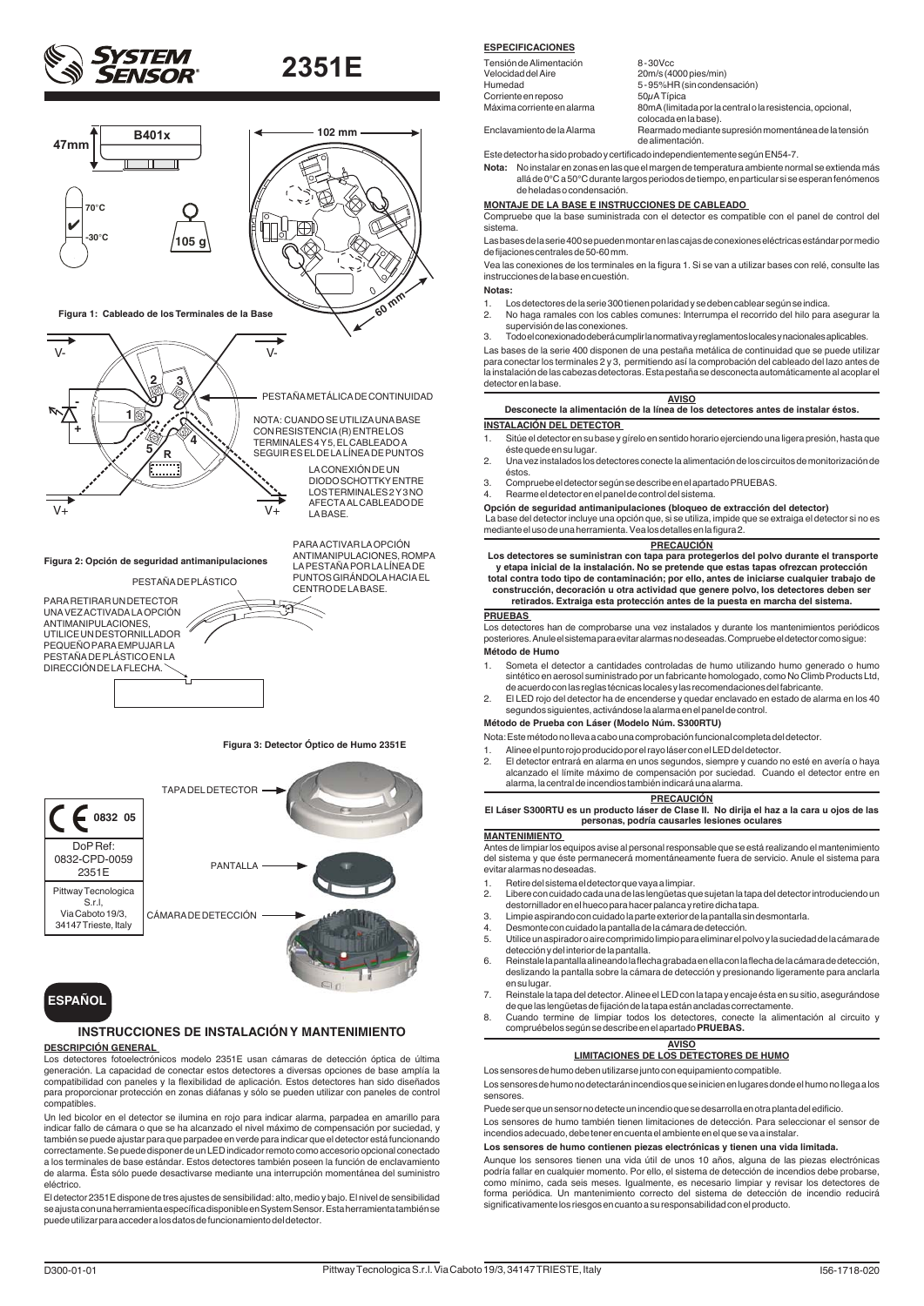



UNA VEZ ACTIVADA LA OPCION<br>ANTIMANIPULACIONES, UTILICE UN DESTORNILLADOR PEQUEÑO PARA EMPUJAR LA PESTAÑA DE PLÁSTICO EN LA DIRECCIÓN DE LA FLECHA.

**Figura 3: Detector Óptico de Humo 2351E**



## **ESPAÑOL**

## **INSTRUCCIONES DE INSTALACIÓN Y MANTENIMIENTO**

### **DESCRIPCIÓN GENERAL**

Los detectores fotoelectrónicos modelo 2351E usan cámaras de detección óptica de última generación. La capacidad de conectar estos detectores a diversas opciones de base amplía la compatibilidad con paneles y la flexibilidad de aplicación. Estos detectores han sido diseñados para proporcionar protección en zonas diáfanas y sólo se pueden utilizar con paneles de control compatibles.

Un led bicolor en el detector se ilumina en rojo para indicar alarma, parpadea en amarillo para indicar fallo de cámara o que se ha alcanzado el nivel máximo de compensación por suciedad, y también se puede ajustar para que parpadee en verde para indicar que el detector está funcionando correctamente. Se puede disponer de un LED indicador remoto como accesorio opcional conectado a los terminales de base estándar. Estos detectores también poseen la función de enclavamiento de alarma. Ésta sólo puede desactivarse mediante una interrupción momentánea del suministro eléctrico.

El detector 2351E dispone de tres ajustes de sensibilidad: alto, medio y bajo. El nivel de sensibilidad se ajusta con una herramienta específica disponible en System Sensor. Esta herramienta también se<br>puede utilizar para acceder a los datos de funcionamiento del detector.

### **ESPECIFICACIONES**

| Tensión de Alimentación    | 8-30Vcc                                                                            |
|----------------------------|------------------------------------------------------------------------------------|
| Velocidad del Aire         | 20m/s (4000 pies/min)                                                              |
| Humedad                    | 5-95%HR (sin condensación)                                                         |
| Corriente en reposo        | 50uATípica                                                                         |
| Máxima corriente en alarma | 80mA (limitada por la central o la resistencia, opcional,<br>colocada en la base). |
| Enclavamiento de la Alarma | Rearmado mediante supresión momentánea de la tensión<br>de alimentación.           |

Este detector ha sido probado y certificado independientemente según EN54-7.

**Nota:** No instalar en zonas en las que el margen de temperatura ambiente normal se extienda más allá de 0°C a 50°C durante largos periodos de tiempo, en particular si se esperan fenómenos de heladas o condensación.

### **MONTAJE DE LA BASE E INSTRUCCIONES DE CABLEADO**

Compruebe que la base suministrada con el detector es compatible con el panel de control del sistema.

Las bases de la serie 400 se pueden montar en las cajas de conexiones eléctricas estándar por medio de fijaciones centrales de 50-60 mm.

Vea las conexiones de los terminales en la figura 1. Si se van a utilizar bases con relé, consulte las instrucciones de la base en cuestión.

### **Notas:**

- 1. Los detectores de la serie 300 tienen polaridad y se deben cablear según se indica. 2. No haga ramales con los cables comunes: Interrumpa el recorrido del hilo para asegurar la
- supervisión de las conexiones.

3. Todo el conexionado deberá cumplir la normativa y reglamentos locales y nacionales aplicables.

Las bases de la serie 400 disponen de una pestaña metálica de continuidad que se puede utilizar para conectar los terminales 2 y 3, permitiendo así la comprobación del cableado del lazo antes de la instalación de las cabezas detectoras. Esta pestaña se desconecta automáticamente al acoplar el detector en la base.

### **AVISO Desconecte la alimentación de la línea de los detectores antes de instalar éstos. INSTALACIÓN DEL DETECTOR**

- Sitúe el detector en su base y gírelo en sentido horario ejerciendo una ligera presión, hasta que éste quede en su lugar.
- 2. Una vez instalados los detectores conecte la alimentación de los circuitos de monitorización de éstos.
- 3. Compruebe el detector según se describe en el apartado PRUEBAS.
- 4. Rearme el detector en el panel de control del sistema.
- **Opción de seguridad antimanipulaciones (bloqueo de extracción del detector)** La base del detector incluye una opción que, si se utiliza, impide que se extraiga el detector si no es

mediante el uso de una herramienta. Vea los detalles en la figura 2.

### **PRECAUCIÓN**

 **Los detectores se suministran con tapa para protegerlos del polvo durante el transporte y etapa inicial de la instalación. No se pretende que estas tapas ofrezcan protección total contra todo tipo de contaminación; por ello, antes de iniciarse cualquier trabajo de construcción, decoración u otra actividad que genere polvo, los detectores deben ser** 

**retirados. Extraiga esta protección antes de la puesta en marcha del sistema.**

### **PRUEBAS**

Los detectores han de comprobarse una vez instalados y durante los mantenimientos periódicos posteriores. Anule el sistema para evitar alarmas no deseadas. Compruebe el detector como sigue: **Método de Humo** 

- 1. Someta el detector a cantidades controladas de humo utilizando humo generado o humo sintético en aerosol suministrado por un fabricante homologado, como No Climb Products Ltd, de acuerdo con las reglas técnicas locales y las recomendaciones del fabricante.
- 2. El LED rojo del detector ha de encenderse y quedar enclavado en estado de alarma en los 40 segundos siguientes, activándose la alarma en el panel de control.

### **Método de Prueba con Láser (Modelo Núm. S300RTU)**

Nota: Este método no lleva a cabo una comprobación funcional completa del detector.

- Alinee el punto rojo producido por el rayo láser con el LED del detector.
- El detector entrará en alarma en unos segundos, siempre y cuando no esté en avería o haya alcanzado el límite máximo de compensación por suciedad. Cuando el detector entre en alarma, la central de incendios también indicará una alarma.

**PRECAUCIÓN El Láser S300RTU es un producto láser de Clase II. No dirija el haz a la cara u ojos de las personas, podría causarles lesiones oculares**

### **MANTENIMIENTO**

Antes de limpiar los equipos avise al personal responsable que se está realizando el mantenimiento del sistema y que éste permanecerá momentáneamente fuera de servicio. Anule el sistema para evitar alarmas no deseadas.

- 1. Retire del sistema el detector que vaya a limpiar.
- 2. Libere con cuidado cada una de las lengüetas que sujetan la tapa del detector introduciendo un destornillador en el hueco para hacer palanca y retire dicha tapa.
- 3. Limpie aspirando con cuidado la parte exterior de la pantalla sin desmontarla.
- 4. Desmonte con cuidado la pantalla de la cámara de detección.
- 5. Utilice un aspirador o aire comprimido limpio para eliminar el polvo y la suciedad de la cámara de detección y del interior de la pantalla.
- 6. Reinstale la pantalla alineando la flecha grabada en ella con la flecha de la cámara de detección, deslizando la pantalla sobre la cámara de detección y presionando ligeramente para anclarla en su lugar.
- 7. Reinstale la tapa del detector. Alinee el LED con la tapa y encaje ésta en su sitio, asegurándose de que las lengüetas de fijación de la tapa están ancladas correctamente.
- 8. Cuando termine de limpiar todos los detectores, conecte la alimentación al circuito y compruébelos según se describe en el apartado **PRUEBAS.**

### **AVISO LIMITACIONES DE LOS DETECTORES DE HUMO**

Los sensores de humo deben utilizarse junto con equipamiento compatible. Los sensores de humo no detectarán incendios que se inicien en lugares donde el humo no llega a los sensores.

Puede ser que un sensor no detecte un incendio que se desarrolla en otra planta del edificio.

Los sensores de humo también tienen limitaciones de detección. Para seleccionar el sensor de incendios adecuado, debe tener en cuenta el ambiente en el que se va a instalar.

### **Los sensores de humo contienen piezas electrónicas y tienen una vida limitada.**

Aunque los sensores tienen una vida útil de unos 10 años, alguna de las piezas electrónicas podría fallar en cualquier momento. Por ello, el sistema de detección de incendios debe probarse, como mínimo, cada seis meses. Igualmente, es necesario limpiar y revisar los detectores de forma periódica. Un mantenimiento correcto del sistema de detección de incendio reducirá significativamente los riesgos en cuanto a su responsabilidad con el producto.